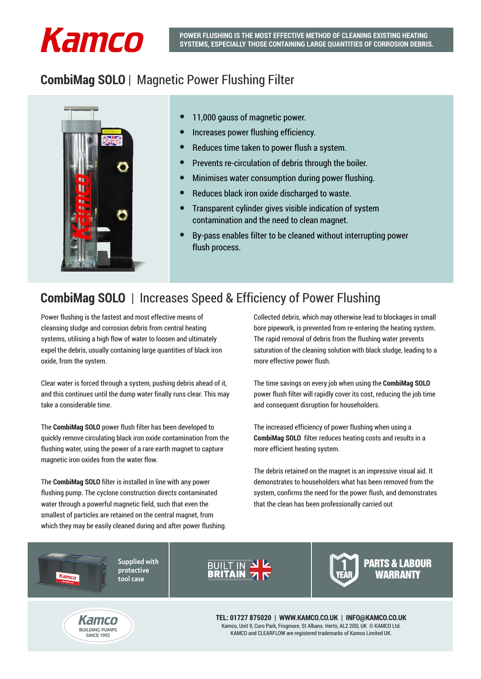## *Kamco*

### **CombiMag SOLO** | Magnetic Power Flushing Filter



- 11,000 gauss of magnetic power.
- Increases power flushing efficiency.
- Reduces time taken to power flush a system.
- Prevents re-circulation of debris through the boiler.
- Minimises water consumption during power flushing.
- Reduces black iron oxide discharged to waste.
- Transparent cylinder gives visible indication of system contamination and the need to clean magnet.
- By-pass enables filter to be cleaned without interrupting power flush process.

## **CombiMag SOLO** | Increases Speed & Efficiency of Power Flushing

Power flushing is the fastest and most effective means of cleansing sludge and corrosion debris from central heating systems, utilising a high flow of water to loosen and ultimately expel the debris, usually containing large quantities of black iron oxide, from the system.

Clear water is forced through a system, pushing debris ahead of it, and this continues until the dump water finally runs clear. This may take a considerable time.

The **CombiMag SOLO** power flush filter has been developed to quickly remove circulating black iron oxide contamination from the flushing water, using the power of a rare earth magnet to capture magnetic iron oxides from the water flow.

The **CombiMag SOLO** filter is installed in line with any power flushing pump. The cyclone construction directs contaminated water through a powerful magnetic field, such that even the smallest of particles are retained on the central magnet, from which they may be easily cleaned during and after power flushing. Collected debris, which may otherwise lead to blockages in small bore pipework, is prevented from re-entering the heating system. The rapid removal of debris from the flushing water prevents saturation of the cleaning solution with black sludge, leading to a more effective power flush.

The time savings on every job when using the **CombiMag SOLO**  power flush filter will rapidly cover its cost, reducing the job time and consequent disruption for householders.

The increased efficiency of power flushing when using a **CombiMag SOLO** filter reduces heating costs and results in a more efficient heating system.

The debris retained on the magnet is an impressive visual aid. It demonstrates to householders what has been removed from the system, confirms the need for the power flush, and demonstrates that the clean has been professionally carried out

**Supplied with protective tool case**



PARTS & LABOUR **WARRANTY** 



Kamco

**TEL: 01727 875020 | WWW.KAMCO.CO.UK | INFO@KAMCO.CO.UK** Kamco, Unit 9, Curo Park, Frogmore, St Albans. Herts, AL2 2DD, UK © KAMCO Ltd. KAMCO and CLEARFLOW are registered trademarks of Kamco Limited UK.